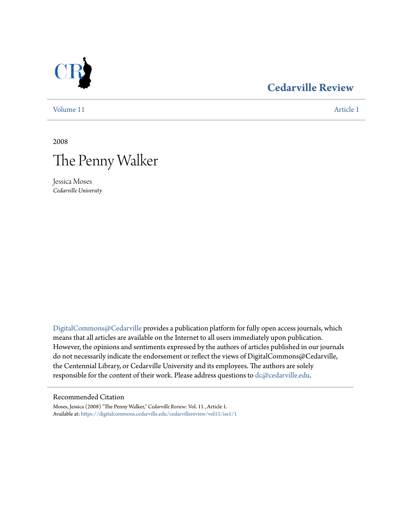

# **[Cedarville Review](https://digitalcommons.cedarville.edu/cedarvillereview?utm_source=digitalcommons.cedarville.edu%2Fcedarvillereview%2Fvol11%2Fiss1%2F1&utm_medium=PDF&utm_campaign=PDFCoverPages)**

[Volume 11](https://digitalcommons.cedarville.edu/cedarvillereview/vol11?utm_source=digitalcommons.cedarville.edu%2Fcedarvillereview%2Fvol11%2Fiss1%2F1&utm_medium=PDF&utm_campaign=PDFCoverPages) [Article 1](https://digitalcommons.cedarville.edu/cedarvillereview/vol11/iss1/1?utm_source=digitalcommons.cedarville.edu%2Fcedarvillereview%2Fvol11%2Fiss1%2F1&utm_medium=PDF&utm_campaign=PDFCoverPages)

2008



Jessica Moses *Cedarville University*

[DigitalCommons@Cedarville](http://digitalcommons.cedarville.edu) provides a publication platform for fully open access journals, which means that all articles are available on the Internet to all users immediately upon publication. However, the opinions and sentiments expressed by the authors of articles published in our journals do not necessarily indicate the endorsement or reflect the views of DigitalCommons@Cedarville, the Centennial Library, or Cedarville University and its employees. The authors are solely responsible for the content of their work. Please address questions to [dc@cedarville.edu](mailto:dc@cedarville.edu).

#### Recommended Citation

Moses, Jessica (2008) "The Penny Walker," *Cedarville Review*: Vol. 11 , Article 1. Available at: [https://digitalcommons.cedarville.edu/cedarvillereview/vol11/iss1/1](https://digitalcommons.cedarville.edu/cedarvillereview/vol11/iss1/1?utm_source=digitalcommons.cedarville.edu%2Fcedarvillereview%2Fvol11%2Fiss1%2F1&utm_medium=PDF&utm_campaign=PDFCoverPages)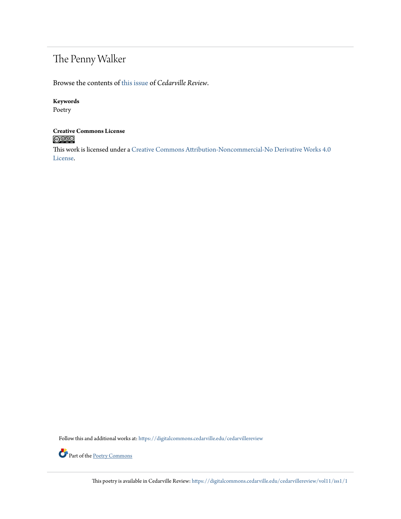# The Penny Walker

Browse the contents of [this issue](https://digitalcommons.cedarville.edu/cedarvillereview/vol11/iss1) of *Cedarville Review*.

### **Keywords**

Poetry

# **Creative Commons License**<br> **C** 000

This work is licensed under a [Creative Commons Attribution-Noncommercial-No Derivative Works 4.0](http://creativecommons.org/licenses/by-nc-nd/4.0/) [License.](http://creativecommons.org/licenses/by-nc-nd/4.0/)

Follow this and additional works at: [https://digitalcommons.cedarville.edu/cedarvillereview](https://digitalcommons.cedarville.edu/cedarvillereview?utm_source=digitalcommons.cedarville.edu%2Fcedarvillereview%2Fvol11%2Fiss1%2F1&utm_medium=PDF&utm_campaign=PDFCoverPages)



This poetry is available in Cedarville Review: [https://digitalcommons.cedarville.edu/cedarvillereview/vol11/iss1/1](https://digitalcommons.cedarville.edu/cedarvillereview/vol11/iss1/1?utm_source=digitalcommons.cedarville.edu%2Fcedarvillereview%2Fvol11%2Fiss1%2F1&utm_medium=PDF&utm_campaign=PDFCoverPages)